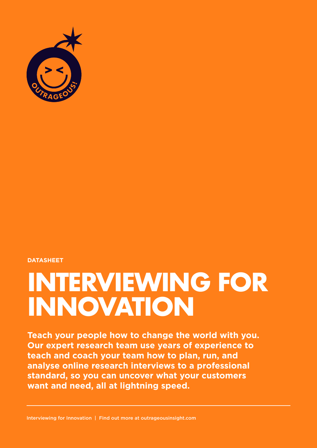

#### **DATASHEET**

# **INTERVIEWING FOR INNOVATION**

**Teach your people how to change the world with you. Our expert research team use years of experience to teach and coach your team how to plan, run, and analyse online research interviews to a professional standard, so you can uncover what your customers want and need, all at lightning speed.**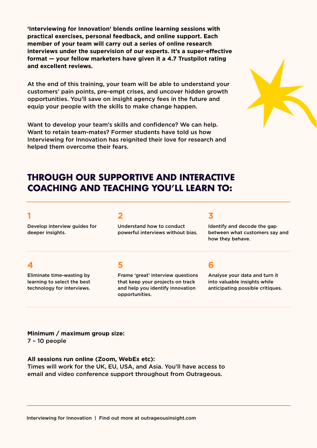**'Interviewing for Innovation' blends online learning sessions with practical exercises, personal feedback, and online support. Each member of your team will carry out a series of online research**  interviews under the supervision of our experts. It's a super-effective **format — your fellow marketers have given it a 4.7 Trustpilot rating and excellent reviews.** 

At the end of this training, your team will be able to understand your customers' pain points, pre-empt crises, and uncover hidden growth opportunities. You'll save on insight agency fees in the future and equip your people with the skills to make change happen.

Want to develop your team's skills and confidence? We can help. Want to retain team-mates? Former students have told us how Interviewing for Innovation has reignited their love for research and helped them overcome their fears.



# **THROUGH OUR SUPPORTIVE AND INTERACTIVE COACHING AND TEACHING YOU'LL LEARN TO:**

#### **1**

Develop interview guides for deeper insights.

#### **2**

Understand how to conduct powerful interviews without bias.

#### **3**

Identify and decode the gap between what customers say and how they behave.

## **4**

Eliminate time-wasting by learning to select the best technology for interviews.

## **5**

Frame 'great' interview questions that keep your projects on track and help you identify innovation opportunities.

## **6**

Analyse your data and turn it into valuable insights while anticipating possible critiques.

**Minimum / maximum group size:** 7 – 10 people

**All sessions run online (Zoom, WebEx etc):**

Times will work for the UK, EU, USA, and Asia. You'll have access to email and video conference support throughout from Outrageous.